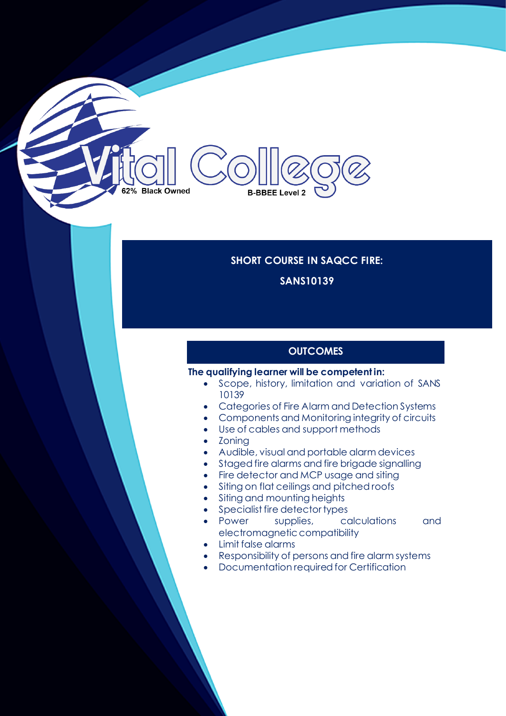# 62% Black Owned **B-BBEE Level 2**

### **SHORT COURSE IN SAQCC FIRE: SANS10139**

#### **OUTCOMES**

#### **The qualifying learner will be competent in:**

- Scope, history, limitation and variation of SANS 10139
- Categories of Fire Alarm and Detection Systems
- Components and Monitoring integrity of circuits
- Use of cables and support methods
- Zoning
- Audible, visual and portable alarm devices
- Staged fire alarms and fire brigade signalling
- Fire detector and MCP usage and siting
- Siting on flat ceilings and pitched roofs
- Siting and mounting heights
- Specialist fire detector types
- Power supplies, calculations and electromagnetic compatibility
- Limit false alarms
- Responsibility of persons and fire alarm systems
- Documentation required for Certification